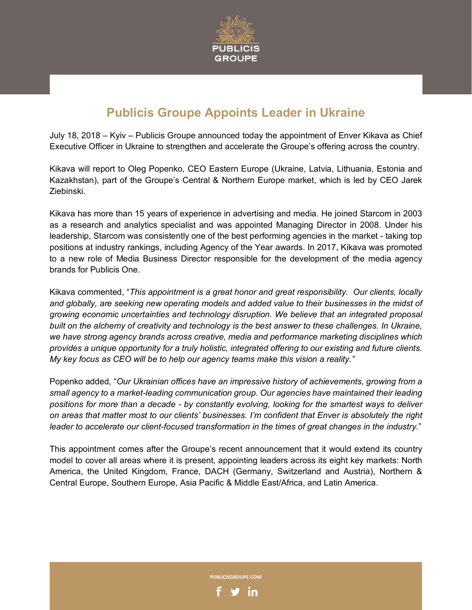

## **Publicis Groupe Appoints Leader in Ukraine**

July 18, 2018 – Kyiv – Publicis Groupe announced today the appointment of Enver Kikava as Chief Executive Officer in Ukraine to strengthen and accelerate the Groupe's offering across the country.

Kikava will report to Oleg Popenko, CEO Eastern Europe (Ukraine, Latvia, Lithuania, Estonia and Kazakhstan), part of the Groupe's Central & Northern Europe market, which is led by CEO Jarek Ziebinski.

Kikava has more than 15 years of experience in advertising and media. He joined Starcom in 2003 as a research and analytics specialist and was appointed Managing Director in 2008. Under his leadership, Starcom was consistently one of the best performing agencies in the market - taking top positions at industry rankings, including Agency of the Year awards. In 2017, Kikava was promoted to a new role of Media Business Director responsible for the development of the media agency brands for Publicis One.

Kikava commented, "*This appointment is a great honor and great responsibility. Our clients, locally and globally, are seeking new operating models and added value to their businesses in the midst of growing economic uncertainties and technology disruption. We believe that an integrated proposal built on the alchemy of creativity and technology is the best answer to these challenges. In Ukraine, we have strong agency brands across creative, media and performance marketing disciplines which provides a unique opportunity for a truly holistic, integrated offering to our existing and future clients. My key focus as CEO will be to help our agency teams make this vision a reality."*

Popenko added, "*Our Ukrainian offices have an impressive history of achievements, growing from a small agency to a market-leading communication group. Our agencies have maintained their leading positions for more than a decade - by constantly evolving, looking for the smartest ways to deliver on areas that matter most to our clients' businesses. I'm confident that Enver is absolutely the right leader to accelerate our client-focused transformation in the times of great changes in the industry.*"

This appointment comes after the Groupe's recent announcement that it would extend its country model to cover all areas where it is present, appointing leaders across its eight key markets: North America, the United Kingdom, France, DACH (Germany, Switzerland and Austria), Northern & Central Europe, Southern Europe, Asia Pacific & Middle East/Africa, and Latin America.

**PUBLICISGROUPE.COM**